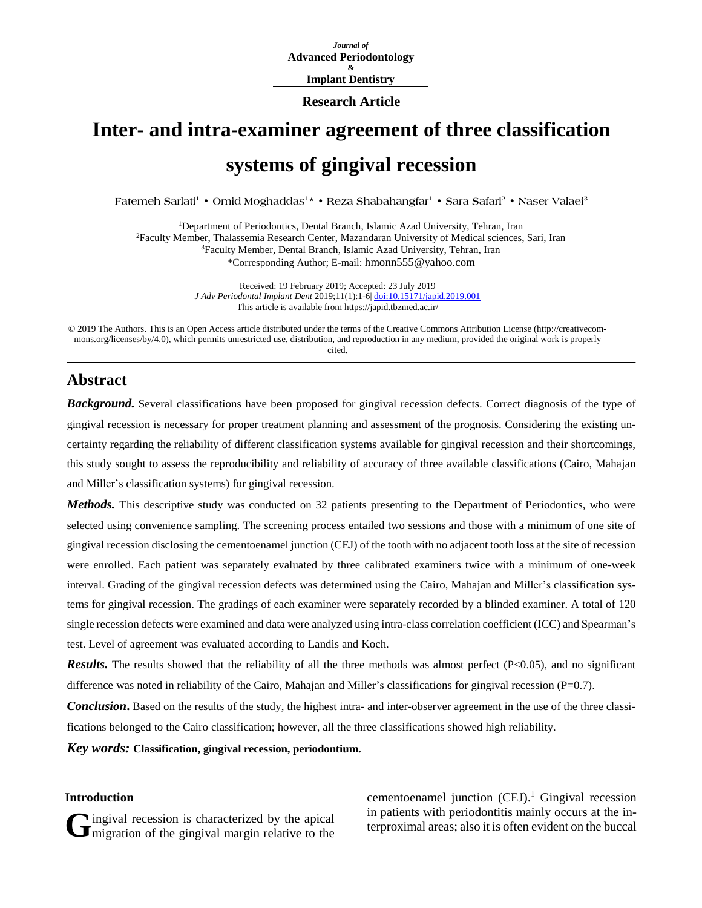*Journal of* **Advanced Periodontology & Implant Dentistry**

## **Research Article**

# **Inter- and intra-examiner agreement of three classification systems of gingival recession**

Fatemeh Sarlati' • Omid Moghaddas<sup>1</sup>\* • Reza Shabahangfar<sup>1</sup> • Sara Safari<sup>2</sup> • Naser Valaei<sup>3</sup>

Department of Periodontics, Dental Branch, Islamic Azad University, Tehran, Iran Faculty Member, Thalassemia Research Center, Mazandaran University of Medical sciences, Sari, Iran Faculty Member, Dental Branch, Islamic Azad University, Tehran, Iran \*Corresponding Author; E-mail: hmonn555@yahoo.com

> Received: 19 February 2019; Accepted: 23 July 2019 *J Adv Periodontal Implant Dent* 2019;11(1):1-6| [doi:10.15171/japid.2019.001](http://dx.doi.org/10.15171/japid.2019.001) This article is available from https://japid.tbzmed.ac.ir/

© 2019 The Authors. This is an Open Access article distributed under the terms of the Creative Commons Attribution License (http://creativecommons.org/licenses/by/4.0), which permits unrestricted use, distribution, and reproduction in any medium, provided the original work is properly cited.

## **Abstract**

*Background.* Several classifications have been proposed for gingival recession defects. Correct diagnosis of the type of gingival recession is necessary for proper treatment planning and assessment of the prognosis. Considering the existing uncertainty regarding the reliability of different classification systems available for gingival recession and their shortcomings, this study sought to assess the reproducibility and reliability of accuracy of three available classifications (Cairo, Mahajan and Miller's classification systems) for gingival recession.

*Methods*. This descriptive study was conducted on 32 patients presenting to the Department of Periodontics, who were selected using convenience sampling. The screening process entailed two sessions and those with a minimum of one site of gingival recession disclosing the cementoenamel junction (CEJ) of the tooth with no adjacent tooth loss at the site of recession were enrolled. Each patient was separately evaluated by three calibrated examiners twice with a minimum of one-week interval. Grading of the gingival recession defects was determined using the Cairo, Mahajan and Miller's classification systems for gingival recession. The gradings of each examiner were separately recorded by a blinded examiner. A total of 120 single recession defects were examined and data were analyzed using intra-class correlation coefficient (ICC) and Spearman's test. Level of agreement was evaluated according to Landis and Koch.

*Results.* The results showed that the reliability of all the three methods was almost perfect ( $P<0.05$ ), and no significant difference was noted in reliability of the Cairo, Mahajan and Miller's classifications for gingival recession  $(P=0.7)$ .

*Conclusion*. Based on the results of the study, the highest intra- and inter-observer agreement in the use of the three classifications belonged to the Cairo classification; however, all the three classifications showed high reliability.

*Key words:* **Classification, gingival recession, periodontium.**

## **Introduction**

ingival recession is characterized by the apical Gingival recession is characterized by the apical margin relative to the cementoenamel junction  $(CEJ)$ <sup>1</sup> Gingival recession in patients with periodontitis mainly occurs at the interproximal areas; also it is often evident on the buccal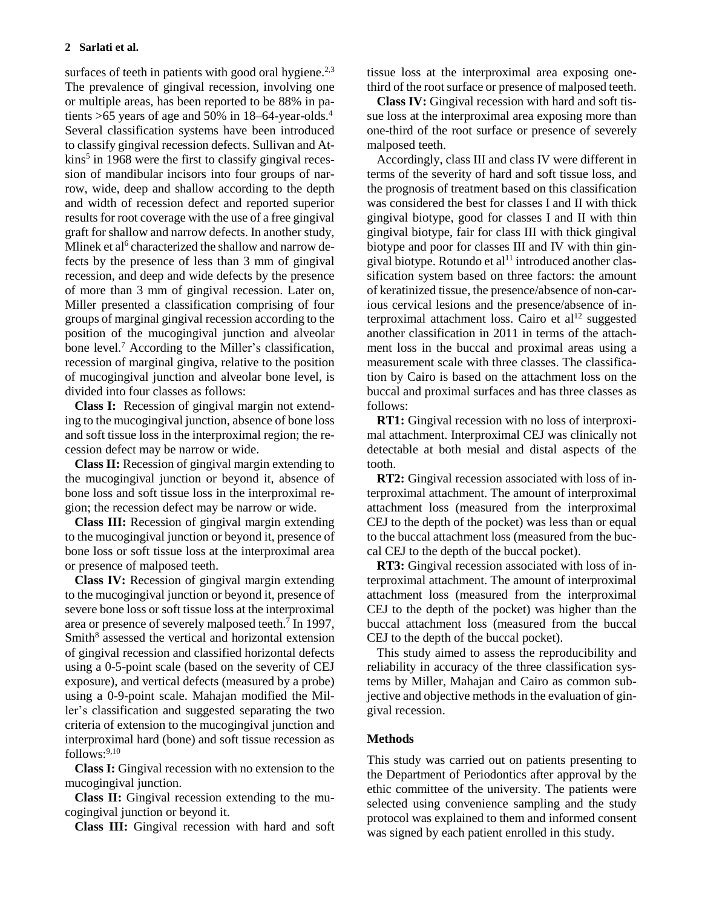surfaces of teeth in patients with good oral hygiene.<sup>2,3</sup> The prevalence of gingival recession, involving one or multiple areas, has been reported to be 88% in patients  $>65$  years of age and 50% in 18–64-year-olds.<sup>4</sup> Several classification systems have been introduced to classify gingival recession defects. Sullivan and Atkins<sup>5</sup> in 1968 were the first to classify gingival recession of mandibular incisors into four groups of narrow, wide, deep and shallow according to the depth and width of recession defect and reported superior results for root coverage with the use of a free gingival graft for shallow and narrow defects. In another study, Mlinek et al<sup>6</sup> characterized the shallow and narrow defects by the presence of less than 3 mm of gingival recession, and deep and wide defects by the presence of more than 3 mm of gingival recession. Later on, Miller presented a classification comprising of four groups of marginal gingival recession according to the position of the mucogingival junction and alveolar bone level.<sup>7</sup> According to the Miller's classification, recession of marginal gingiva, relative to the position of mucogingival junction and alveolar bone level, is divided into four classes as follows:

**Class I:** Recession of gingival margin not extending to the mucogingival junction, absence of bone loss and soft tissue loss in the interproximal region; the recession defect may be narrow or wide.

**Class II:** Recession of gingival margin extending to the mucogingival junction or beyond it, absence of bone loss and soft tissue loss in the interproximal region; the recession defect may be narrow or wide.

**Class III:** Recession of gingival margin extending to the mucogingival junction or beyond it, presence of bone loss or soft tissue loss at the interproximal area or presence of malposed teeth.

**Class IV:** Recession of gingival margin extending to the mucogingival junction or beyond it, presence of severe bone loss or soft tissue loss at the interproximal area or presence of severely malposed teeth.<sup>7</sup> In 1997, Smith<sup>8</sup> assessed the vertical and horizontal extension of gingival recession and classified horizontal defects using a 0-5-point scale (based on the severity of CEJ exposure), and vertical defects (measured by a probe) using a 0-9-point scale. Mahajan modified the Miller's classification and suggested separating the two criteria of extension to the mucogingival junction and interproximal hard (bone) and soft tissue recession as follows:<sup>9,10</sup>

**Class I:** Gingival recession with no extension to the mucogingival junction.

**Class II:** Gingival recession extending to the mucogingival junction or beyond it.

**Class III:** Gingival recession with hard and soft

tissue loss at the interproximal area exposing onethird of the root surface or presence of malposed teeth.

**Class IV:** Gingival recession with hard and soft tissue loss at the interproximal area exposing more than one-third of the root surface or presence of severely malposed teeth.

Accordingly, class III and class IV were different in terms of the severity of hard and soft tissue loss, and the prognosis of treatment based on this classification was considered the best for classes I and II with thick gingival biotype, good for classes I and II with thin gingival biotype, fair for class III with thick gingival biotype and poor for classes III and IV with thin gingival biotype. Rotundo et al<sup>11</sup> introduced another classification system based on three factors: the amount of keratinized tissue, the presence/absence of non-carious cervical lesions and the presence/absence of interproximal attachment loss. Cairo et  $al<sup>12</sup>$  suggested another classification in 2011 in terms of the attachment loss in the buccal and proximal areas using a measurement scale with three classes. The classification by Cairo is based on the attachment loss on the buccal and proximal surfaces and has three classes as follows:

**RT1:** Gingival recession with no loss of interproximal attachment. Interproximal CEJ was clinically not detectable at both mesial and distal aspects of the tooth.

**RT2:** Gingival recession associated with loss of interproximal attachment. The amount of interproximal attachment loss (measured from the interproximal CEJ to the depth of the pocket) was less than or equal to the buccal attachment loss (measured from the buccal CEJ to the depth of the buccal pocket).

**RT3:** Gingival recession associated with loss of interproximal attachment. The amount of interproximal attachment loss (measured from the interproximal CEJ to the depth of the pocket) was higher than the buccal attachment loss (measured from the buccal CEJ to the depth of the buccal pocket).

This study aimed to assess the reproducibility and reliability in accuracy of the three classification systems by Miller, Mahajan and Cairo as common subjective and objective methods in the evaluation of gingival recession.

## **Methods**

This study was carried out on patients presenting to the Department of Periodontics after approval by the ethic committee of the university. The patients were selected using convenience sampling and the study protocol was explained to them and informed consent was signed by each patient enrolled in this study.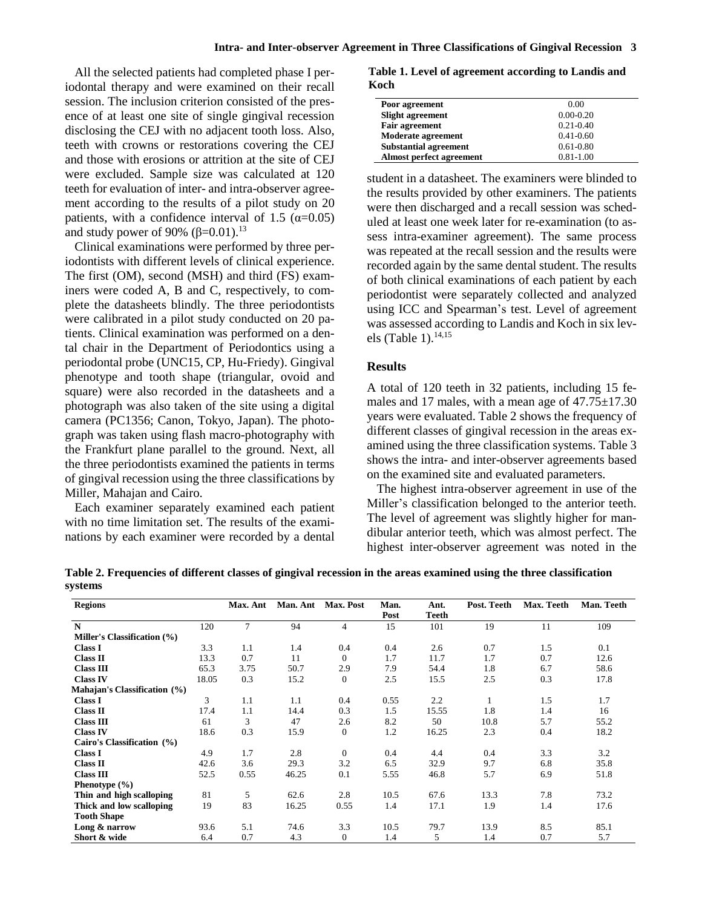All the selected patients had completed phase I periodontal therapy and were examined on their recall session. The inclusion criterion consisted of the presence of at least one site of single gingival recession disclosing the CEJ with no adjacent tooth loss. Also, teeth with crowns or restorations covering the CEJ and those with erosions or attrition at the site of CEJ were excluded. Sample size was calculated at 120 teeth for evaluation of inter- and intra-observer agreement according to the results of a pilot study on 20 patients, with a confidence interval of 1.5 ( $\alpha$ =0.05) and study power of 90%  $(\beta=0.01)$ .<sup>13</sup>

Clinical examinations were performed by three periodontists with different levels of clinical experience. The first (OM), second (MSH) and third (FS) examiners were coded A, B and C, respectively, to complete the datasheets blindly. The three periodontists were calibrated in a pilot study conducted on 20 patients. Clinical examination was performed on a dental chair in the Department of Periodontics using a periodontal probe (UNC15, CP, Hu-Friedy). Gingival phenotype and tooth shape (triangular, ovoid and square) were also recorded in the datasheets and a photograph was also taken of the site using a digital camera (PC1356; Canon, Tokyo, Japan). The photograph was taken using flash macro-photography with the Frankfurt plane parallel to the ground. Next, all the three periodontists examined the patients in terms of gingival recession using the three classifications by Miller, Mahajan and Cairo.

Each examiner separately examined each patient with no time limitation set. The results of the examinations by each examiner were recorded by a dental

**Table 1. Level of agreement according to Landis and Koch**

| Poor agreement               | 0.00          |
|------------------------------|---------------|
| <b>Slight agreement</b>      | $0.00 - 0.20$ |
| <b>Fair agreement</b>        | $0.21 - 0.40$ |
| <b>Moderate agreement</b>    | $0.41 - 0.60$ |
| <b>Substantial agreement</b> | $0.61 - 0.80$ |
| Almost perfect agreement     | $0.81 - 1.00$ |
|                              |               |

student in a datasheet. The examiners were blinded to the results provided by other examiners. The patients were then discharged and a recall session was scheduled at least one week later for re-examination (to assess intra-examiner agreement). The same process was repeated at the recall session and the results were recorded again by the same dental student. The results of both clinical examinations of each patient by each periodontist were separately collected and analyzed using ICC and Spearman's test. Level of agreement was assessed according to Landis and Koch in six levels (Table 1). 14,15

## **Results**

A total of 120 teeth in 32 patients, including 15 females and 17 males, with a mean age of  $47.75 \pm 17.30$ years were evaluated. Table 2 shows the frequency of different classes of gingival recession in the areas examined using the three classification systems. Table 3 shows the intra- and inter-observer agreements based on the examined site and evaluated parameters.

The highest intra-observer agreement in use of the Miller's classification belonged to the anterior teeth. The level of agreement was slightly higher for mandibular anterior teeth, which was almost perfect. The highest inter-observer agreement was noted in the

Table 2. Frequencies of different classes of gingival recession in the areas examined using the three classification **systems**

| <b>Regions</b>               |       | Max. Ant | Man. Ant | Max. Post        | Man. | Ant.  | Post. Teeth | Max. Teeth | Man. Teeth |
|------------------------------|-------|----------|----------|------------------|------|-------|-------------|------------|------------|
|                              |       |          |          |                  | Post | Teeth |             |            |            |
| N                            | 120   | 7        | 94       | $\overline{4}$   | 15   | 101   | 19          | 11         | 109        |
| Miller's Classification (%)  |       |          |          |                  |      |       |             |            |            |
| <b>Class I</b>               | 3.3   | 1.1      | 1.4      | 0.4              | 0.4  | 2.6   | 0.7         | 1.5        | 0.1        |
| Class II                     | 13.3  | 0.7      | 11       | $\theta$         | 1.7  | 11.7  | 1.7         | 0.7        | 12.6       |
| <b>Class III</b>             | 65.3  | 3.75     | 50.7     | 2.9              | 7.9  | 54.4  | 1.8         | 6.7        | 58.6       |
| <b>Class IV</b>              | 18.05 | 0.3      | 15.2     | $\boldsymbol{0}$ | 2.5  | 15.5  | 2.5         | 0.3        | 17.8       |
| Mahajan's Classification (%) |       |          |          |                  |      |       |             |            |            |
| <b>Class I</b>               | 3     | 1.1      | 1.1      | 0.4              | 0.55 | 2.2   | 1           | 1.5        | 1.7        |
| Class II                     | 17.4  | 1.1      | 14.4     | 0.3              | 1.5  | 15.55 | 1.8         | 1.4        | 16         |
| <b>Class III</b>             | 61    | 3        | 47       | 2.6              | 8.2  | 50    | 10.8        | 5.7        | 55.2       |
| <b>Class IV</b>              | 18.6  | 0.3      | 15.9     | $\boldsymbol{0}$ | 1.2  | 16.25 | 2.3         | 0.4        | 18.2       |
| Cairo's Classification (%)   |       |          |          |                  |      |       |             |            |            |
| <b>Class I</b>               | 4.9   | 1.7      | 2.8      | $\mathbf{0}$     | 0.4  | 4.4   | 0.4         | 3.3        | 3.2        |
| Class II                     | 42.6  | 3.6      | 29.3     | 3.2              | 6.5  | 32.9  | 9.7         | 6.8        | 35.8       |
| <b>Class III</b>             | 52.5  | 0.55     | 46.25    | 0.1              | 5.55 | 46.8  | 5.7         | 6.9        | 51.8       |
| Phenotype $(\% )$            |       |          |          |                  |      |       |             |            |            |
| Thin and high scalloping     | 81    | 5        | 62.6     | 2.8              | 10.5 | 67.6  | 13.3        | 7.8        | 73.2       |
| Thick and low scalloping     | 19    | 83       | 16.25    | 0.55             | 1.4  | 17.1  | 1.9         | 1.4        | 17.6       |
| <b>Tooth Shape</b>           |       |          |          |                  |      |       |             |            |            |
| Long & narrow                | 93.6  | 5.1      | 74.6     | 3.3              | 10.5 | 79.7  | 13.9        | 8.5        | 85.1       |
| Short & wide                 | 6.4   | 0.7      | 4.3      | $\theta$         | 1.4  | 5     | 1.4         | 0.7        | 5.7        |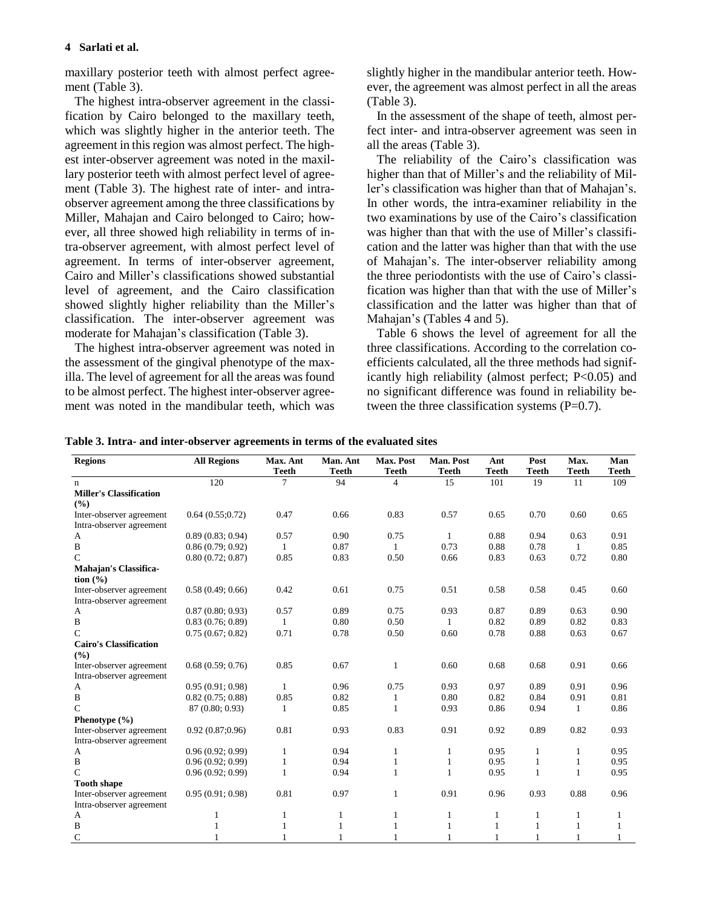## **4 Sarlati et al.**

maxillary posterior teeth with almost perfect agreement (Table 3).

The highest intra-observer agreement in the classification by Cairo belonged to the maxillary teeth, which was slightly higher in the anterior teeth. The agreement in this region was almost perfect. The highest inter-observer agreement was noted in the maxillary posterior teeth with almost perfect level of agreement (Table 3). The highest rate of inter- and intraobserver agreement among the three classifications by Miller, Mahajan and Cairo belonged to Cairo; however, all three showed high reliability in terms of intra-observer agreement, with almost perfect level of agreement. In terms of inter-observer agreement, Cairo and Miller's classifications showed substantial level of agreement, and the Cairo classification showed slightly higher reliability than the Miller's classification. The inter-observer agreement was moderate for Mahajan's classification (Table 3).

The highest intra-observer agreement was noted in the assessment of the gingival phenotype of the maxilla. The level of agreement for all the areas was found to be almost perfect. The highest inter-observer agreement was noted in the mandibular teeth, which was slightly higher in the mandibular anterior teeth. However, the agreement was almost perfect in all the areas (Table 3).

In the assessment of the shape of teeth, almost perfect inter- and intra-observer agreement was seen in all the areas (Table 3).

The reliability of the Cairo's classification was higher than that of Miller's and the reliability of Miller's classification was higher than that of Mahajan's. In other words, the intra-examiner reliability in the two examinations by use of the Cairo's classification was higher than that with the use of Miller's classification and the latter was higher than that with the use of Mahajan's. The inter-observer reliability among the three periodontists with the use of Cairo's classification was higher than that with the use of Miller's classification and the latter was higher than that of Mahajan's (Tables 4 and 5).

Table 6 shows the level of agreement for all the three classifications. According to the correlation coefficients calculated, all the three methods had significantly high reliability (almost perfect; P<0.05) and no significant difference was found in reliability between the three classification systems  $(P=0.7)$ .

| Table 3. Intra- and inter-observer agreements in terms of the evaluated sites |
|-------------------------------------------------------------------------------|
|                                                                               |

| <b>Regions</b>                                           | <b>All Regions</b> | Max. Ant       | Man. Ant     | Max. Post    | <b>Man. Post</b> | Ant          | Post         | Max.         | Man          |
|----------------------------------------------------------|--------------------|----------------|--------------|--------------|------------------|--------------|--------------|--------------|--------------|
|                                                          |                    | <b>Teeth</b>   | <b>Teeth</b> | <b>Teeth</b> | <b>Teeth</b>     | <b>Teeth</b> | <b>Teeth</b> | <b>Teeth</b> | <b>Teeth</b> |
| n                                                        | 120                | $\overline{7}$ | 94           | 4            | 15               | 101          | 19           | 11           | 109          |
| <b>Miller's Classification</b><br>(9/0)                  |                    |                |              |              |                  |              |              |              |              |
| Inter-observer agreement                                 | 0.64(0.55;0.72)    | 0.47           | 0.66         | 0.83         | 0.57             | 0.65         | 0.70         | 0.60         | 0.65         |
| Intra-observer agreement                                 |                    |                |              |              |                  |              |              |              |              |
| A                                                        | 0.89(0.83; 0.94)   | 0.57           | 0.90         | 0.75         | 1                | 0.88         | 0.94         | 0.63         | 0.91         |
| B                                                        | 0.86(0.79; 0.92)   | 1              | 0.87         | $\mathbf{1}$ | 0.73             | 0.88         | 0.78         | $\mathbf{1}$ | 0.85         |
| $\mathsf{C}$                                             | 0.80(0.72; 0.87)   | 0.85           | 0.83         | 0.50         | 0.66             | 0.83         | 0.63         | 0.72         | 0.80         |
| <b>Mahajan's Classifica-</b><br>$\tan(\frac{\theta}{6})$ |                    |                |              |              |                  |              |              |              |              |
| Inter-observer agreement                                 | 0.58(0.49; 0.66)   | 0.42           | 0.61         | 0.75         | 0.51             | 0.58         | 0.58         | 0.45         | 0.60         |
| Intra-observer agreement                                 |                    |                |              |              |                  |              |              |              |              |
| A                                                        | 0.87(0.80; 0.93)   | 0.57           | 0.89         | 0.75         | 0.93             | 0.87         | 0.89         | 0.63         | 0.90         |
| B                                                        | 0.83(0.76; 0.89)   | 1              | 0.80         | 0.50         | $\mathbf{1}$     | 0.82         | 0.89         | 0.82         | 0.83         |
| C                                                        | 0.75(0.67; 0.82)   | 0.71           | 0.78         | 0.50         | 0.60             | 0.78         | 0.88         | 0.63         | 0.67         |
| <b>Cairo's Classification</b>                            |                    |                |              |              |                  |              |              |              |              |
| (%)                                                      |                    |                |              |              |                  |              |              |              |              |
| Inter-observer agreement                                 | 0.68(0.59; 0.76)   | 0.85           | 0.67         | 1            | 0.60             | 0.68         | 0.68         | 0.91         | 0.66         |
| Intra-observer agreement                                 |                    |                |              |              |                  |              |              |              |              |
| A                                                        | 0.95(0.91; 0.98)   | $\mathbf{1}$   | 0.96         | 0.75         | 0.93             | 0.97         | 0.89         | 0.91         | 0.96         |
| B                                                        | 0.82(0.75:0.88)    | 0.85           | 0.82         | 1            | 0.80             | 0.82         | 0.84         | 0.91         | 0.81         |
| C                                                        | 87 (0.80; 0.93)    | $\mathbf{1}$   | 0.85         | 1            | 0.93             | 0.86         | 0.94         | 1            | 0.86         |
| Phenotype $(\% )$                                        |                    |                |              |              |                  |              |              |              |              |
| Inter-observer agreement                                 | 0.92(0.87;0.96)    | 0.81           | 0.93         | 0.83         | 0.91             | 0.92         | 0.89         | 0.82         | 0.93         |
| Intra-observer agreement                                 |                    |                |              |              |                  |              |              |              |              |
| A                                                        | 0.96(0.92; 0.99)   | $\mathbf{1}$   | 0.94         | $\mathbf{1}$ | 1                | 0.95         | $\mathbf{1}$ | 1            | 0.95         |
| B                                                        | 0.96(0.92; 0.99)   | 1              | 0.94         | 1            | 1                | 0.95         | 1            | $\mathbf{1}$ | 0.95         |
| C                                                        | 0.96(0.92; 0.99)   | 1              | 0.94         | 1            | 1                | 0.95         | 1            | $\mathbf{1}$ | 0.95         |
| <b>Tooth shape</b>                                       |                    |                |              |              |                  |              |              |              |              |
| Inter-observer agreement                                 | 0.95(0.91; 0.98)   | 0.81           | 0.97         | 1            | 0.91             | 0.96         | 0.93         | 0.88         | 0.96         |
| Intra-observer agreement                                 |                    |                |              |              |                  |              |              |              |              |
| $\mathbf{A}$                                             | 1                  | 1              | 1            | 1            | 1                | 1            | 1            | 1            | 1            |
| $\, {\bf B}$                                             | $\mathbf{1}$       | 1              | $\mathbf{1}$ | 1            | 1                | 1            | 1            | 1            | 1            |
| $\mathsf{C}$                                             |                    |                |              |              |                  |              |              |              |              |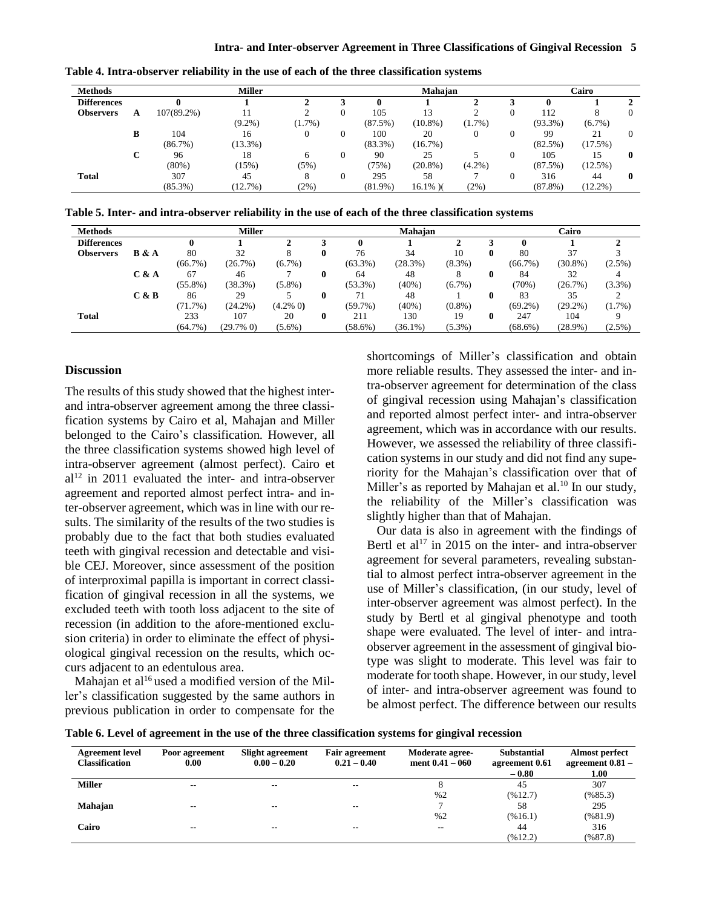| <b>Methods</b>     |   |               | <b>Miller</b> |           | Mahajan | Cairo      |             |           |   |            |            |          |
|--------------------|---|---------------|---------------|-----------|---------|------------|-------------|-----------|---|------------|------------|----------|
| <b>Differences</b> |   |               |               |           |         | 0          |             |           |   |            |            |          |
| <b>Observers</b>   | A | $107(89.2\%)$ |               |           |         | 105        | 13          |           | 0 | 112        | 8          | $\Omega$ |
|                    |   |               | $(9.2\%)$     | $(1.7\%)$ |         | (87.5%)    | $(10.8\%)$  | $(1.7\%)$ |   | $(93.3\%)$ | $(6.7\%)$  |          |
|                    | В | 104           | 16            |           |         | 100        | 20          |           |   | 99         | 21         | $\Omega$ |
|                    |   | (86.7%)       | $(13.3\%)$    |           |         | $(83.3\%)$ | (16.7%)     |           |   | $(82.5\%)$ | (17.5%)    |          |
|                    | C | 96            | 18            | 6         |         | 90         | 25          |           |   | 105        | 15         | 0        |
|                    |   | $(80\%)$      | (15%)         | (5%)      |         | (75%)      | $(20.8\%)$  | $(4.2\%)$ |   | (87.5%)    | $(12.5\%)$ |          |
| <b>Total</b>       |   | 307           | 45            | 8         |         | 295        | 58          |           |   | 316        | 44         | $\bf{0}$ |
|                    |   | $(85.3\%)$    | (12.7%)       | (2%)      |         | $(81.9\%)$ | $16.1\%$ )( | (2%)      |   | $(87.8\%)$ | $(12.2\%)$ |          |

**Table 4. Intra-observer reliability in the use of each of the three classification systems**

**Table 5. Inter- and intra-observer reliability in the use of each of the three classification systems**

| <b>Methods</b>     |       | <b>Miller</b> |              |             |              |            | Mahajan    |           | Cairo |            |            |           |
|--------------------|-------|---------------|--------------|-------------|--------------|------------|------------|-----------|-------|------------|------------|-----------|
| <b>Differences</b> |       |               |              |             |              | 0          |            |           |       |            |            |           |
| <b>Observers</b>   | B & A | 80            | 32           |             |              | 76         | 34         | 10        | 0     | 80         | 37         |           |
|                    |       | $(66.7\%)$    | (26.7%)      | $(6.7\%)$   |              | $(63.3\%)$ | (28.3%)    | $(8.3\%)$ |       | $(66.7\%)$ | $(30.8\%)$ | $(2.5\%)$ |
|                    | C & A | 67            | 46           |             |              | 64         | 48         |           | 0     | 84         | 32         |           |
|                    |       | $(55.8\%)$    | (38.3%)      | $(5.8\%)$   |              | $(53.3\%)$ | (40%)      | $(6.7\%)$ |       | (70%)      | (26.7%)    | $(3.3\%)$ |
|                    | C & B | 86            | 29           |             |              | 71         | 48         |           | 0     | 83         | 35         |           |
|                    |       | $(71.7\%)$    | $(24.2\%)$   | $(4.2\% 0)$ |              | $(59.7\%)$ | (40%)      | $(0.8\%)$ |       | $(69.2\%)$ | $(29.2\%)$ | $(1.7\%)$ |
| <b>Total</b>       |       | 233           | 107          | 20          | $\mathbf{0}$ | 211        | 130        | 19        | 0     | 247        | 104        |           |
|                    |       | $(64.7\%)$    | $(29.7\% 0)$ | $(5.6\%)$   |              | $(58.6\%)$ | $(36.1\%)$ | $(5.3\%)$ |       | $(68.6\%)$ | $(28.9\%)$ | $(2.5\%)$ |

#### **Discussion**

The results of this study showed that the highest interand intra-observer agreement among the three classification systems by Cairo et al, Mahajan and Miller belonged to the Cairo's classification. However, all the three classification systems showed high level of intra-observer agreement (almost perfect). Cairo et  $al<sup>12</sup>$  in 2011 evaluated the inter- and intra-observer agreement and reported almost perfect intra- and inter-observer agreement, which was in line with our results. The similarity of the results of the two studies is probably due to the fact that both studies evaluated teeth with gingival recession and detectable and visible CEJ. Moreover, since assessment of the position of interproximal papilla is important in correct classification of gingival recession in all the systems, we excluded teeth with tooth loss adjacent to the site of recession (in addition to the afore-mentioned exclusion criteria) in order to eliminate the effect of physiological gingival recession on the results, which occurs adjacent to an edentulous area.

Mahajan et al<sup>16</sup> used a modified version of the Miller's classification suggested by the same authors in previous publication in order to compensate for the shortcomings of Miller's classification and obtain more reliable results. They assessed the inter- and intra-observer agreement for determination of the class of gingival recession using Mahajan's classification and reported almost perfect inter- and intra-observer agreement, which was in accordance with our results. However, we assessed the reliability of three classification systems in our study and did not find any superiority for the Mahajan's classification over that of Miller's as reported by Mahajan et al.<sup>10</sup> In our study, the reliability of the Miller's classification was slightly higher than that of Mahajan.

Our data is also in agreement with the findings of Bertl et al<sup>17</sup> in 2015 on the inter- and intra-observer agreement for several parameters, revealing substantial to almost perfect intra-observer agreement in the use of Miller's classification, (in our study, level of inter-observer agreement was almost perfect). In the study by Bertl et al gingival phenotype and tooth shape were evaluated. The level of inter- and intraobserver agreement in the assessment of gingival biotype was slight to moderate. This level was fair to moderate for tooth shape. However, in our study, level of inter- and intra-observer agreement was found to be almost perfect. The difference between our results

**Table 6. Level of agreement in the use of the three classification systems for gingival recession**

| <b>Agreement level</b><br><b>Classification</b> | Poor agreement<br>0.00 | <b>Slight agreement</b><br>$0.00 - 0.20$ | <b>Fair agreement</b><br>$0.21 - 0.40$ | Moderate agree-<br>ment $0.41 - 060$ | <b>Substantial</b><br>agreement 0.61<br>$-0.80$ | <b>Almost perfect</b><br>agreement 0.81 -<br>1.00 |
|-------------------------------------------------|------------------------|------------------------------------------|----------------------------------------|--------------------------------------|-------------------------------------------------|---------------------------------------------------|
| <b>Miller</b>                                   | $-$                    | --                                       | --                                     |                                      | 45                                              | 307                                               |
|                                                 |                        |                                          |                                        | %2                                   | (%12.7)                                         | (%85.3)                                           |
| Mahajan                                         | $- -$                  | --                                       | $- -$                                  |                                      | 58                                              | 295                                               |
|                                                 |                        |                                          |                                        | %2                                   | (%16.1)                                         | (%81.9)                                           |
| Cairo                                           | $-$                    | --                                       | --                                     | --                                   | 44                                              | 316                                               |
|                                                 |                        |                                          |                                        |                                      | (%12.2)                                         | (%87.8)                                           |